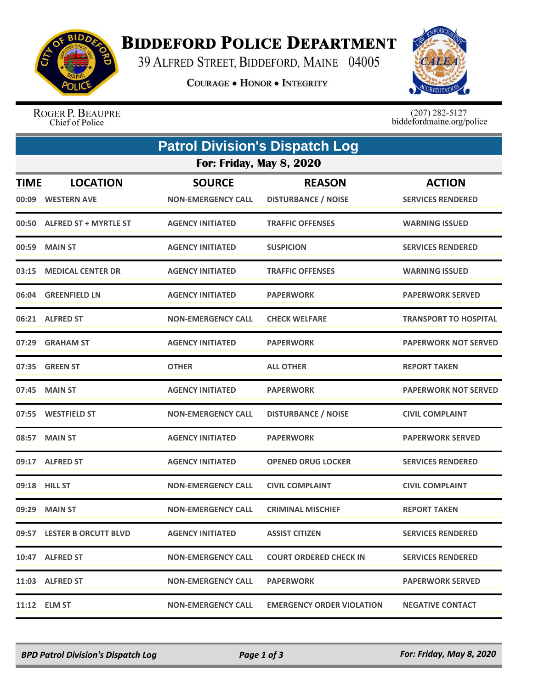

## **BIDDEFORD POLICE DEPARTMENT**

39 ALFRED STREET, BIDDEFORD, MAINE 04005

**COURAGE . HONOR . INTEGRITY** 



ROGER P. BEAUPRE Chief of Police

 $(207)$  282-5127<br>biddefordmaine.org/police

| <b>Patrol Division's Dispatch Log</b> |                                       |                                            |                                             |                                           |  |  |  |
|---------------------------------------|---------------------------------------|--------------------------------------------|---------------------------------------------|-------------------------------------------|--|--|--|
| <b>For: Friday, May 8, 2020</b>       |                                       |                                            |                                             |                                           |  |  |  |
| <b>TIME</b><br>00:09                  | <b>LOCATION</b><br><b>WESTERN AVE</b> | <b>SOURCE</b><br><b>NON-EMERGENCY CALL</b> | <b>REASON</b><br><b>DISTURBANCE / NOISE</b> | <b>ACTION</b><br><b>SERVICES RENDERED</b> |  |  |  |
|                                       | 00:50 ALFRED ST + MYRTLE ST           | <b>AGENCY INITIATED</b>                    | <b>TRAFFIC OFFENSES</b>                     | <b>WARNING ISSUED</b>                     |  |  |  |
| 00:59                                 | <b>MAIN ST</b>                        | <b>AGENCY INITIATED</b>                    | <b>SUSPICION</b>                            | <b>SERVICES RENDERED</b>                  |  |  |  |
|                                       | 03:15 MEDICAL CENTER DR               | <b>AGENCY INITIATED</b>                    | <b>TRAFFIC OFFENSES</b>                     | <b>WARNING ISSUED</b>                     |  |  |  |
| 06:04                                 | <b>GREENFIELD LN</b>                  | <b>AGENCY INITIATED</b>                    | <b>PAPERWORK</b>                            | <b>PAPERWORK SERVED</b>                   |  |  |  |
|                                       | 06:21 ALFRED ST                       | <b>NON-EMERGENCY CALL</b>                  | <b>CHECK WELFARE</b>                        | <b>TRANSPORT TO HOSPITAL</b>              |  |  |  |
| 07:29                                 | <b>GRAHAM ST</b>                      | <b>AGENCY INITIATED</b>                    | <b>PAPERWORK</b>                            | <b>PAPERWORK NOT SERVED</b>               |  |  |  |
| 07:35                                 | <b>GREEN ST</b>                       | <b>OTHER</b>                               | <b>ALL OTHER</b>                            | <b>REPORT TAKEN</b>                       |  |  |  |
|                                       | 07:45 MAIN ST                         | <b>AGENCY INITIATED</b>                    | <b>PAPERWORK</b>                            | <b>PAPERWORK NOT SERVED</b>               |  |  |  |
|                                       | 07:55 WESTFIELD ST                    | <b>NON-EMERGENCY CALL</b>                  | <b>DISTURBANCE / NOISE</b>                  | <b>CIVIL COMPLAINT</b>                    |  |  |  |
|                                       | 08:57 MAIN ST                         | <b>AGENCY INITIATED</b>                    | <b>PAPERWORK</b>                            | <b>PAPERWORK SERVED</b>                   |  |  |  |
|                                       | 09:17 ALFRED ST                       | <b>AGENCY INITIATED</b>                    | <b>OPENED DRUG LOCKER</b>                   | <b>SERVICES RENDERED</b>                  |  |  |  |
|                                       | 09:18 HILL ST                         | <b>NON-EMERGENCY CALL</b>                  | <b>CIVIL COMPLAINT</b>                      | <b>CIVIL COMPLAINT</b>                    |  |  |  |
| 09:29                                 | <b>MAIN ST</b>                        | <b>NON-EMERGENCY CALL</b>                  | <b>CRIMINAL MISCHIEF</b>                    | <b>REPORT TAKEN</b>                       |  |  |  |
|                                       | 09:57 LESTER B ORCUTT BLVD            | <b>AGENCY INITIATED</b>                    | <b>ASSIST CITIZEN</b>                       | <b>SERVICES RENDERED</b>                  |  |  |  |
|                                       | 10:47 ALFRED ST                       | <b>NON-EMERGENCY CALL</b>                  | <b>COURT ORDERED CHECK IN</b>               | <b>SERVICES RENDERED</b>                  |  |  |  |
|                                       | 11:03 ALFRED ST                       | <b>NON-EMERGENCY CALL</b>                  | <b>PAPERWORK</b>                            | <b>PAPERWORK SERVED</b>                   |  |  |  |
|                                       | 11:12 ELM ST                          | <b>NON-EMERGENCY CALL</b>                  | <b>EMERGENCY ORDER VIOLATION</b>            | <b>NEGATIVE CONTACT</b>                   |  |  |  |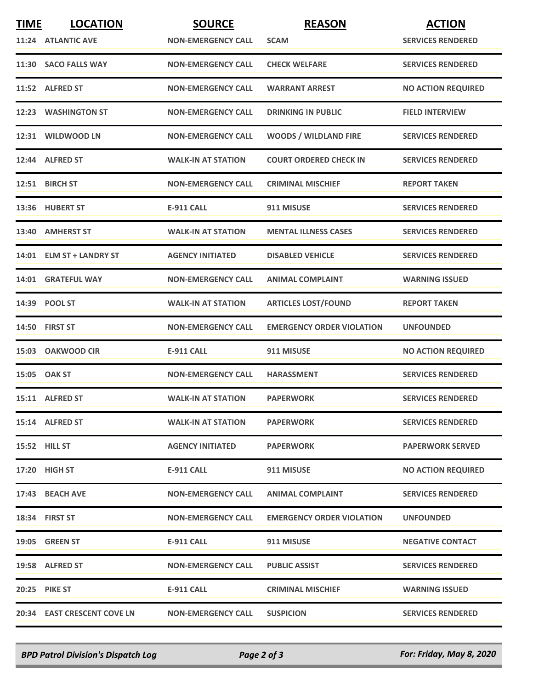| <b>TIME</b> | <b>LOCATION</b>                    | <b>SOURCE</b>             | <b>REASON</b>                    | <b>ACTION</b>             |
|-------------|------------------------------------|---------------------------|----------------------------------|---------------------------|
|             | 11:24 ATLANTIC AVE                 | <b>NON-EMERGENCY CALL</b> | <b>SCAM</b>                      | <b>SERVICES RENDERED</b>  |
|             | 11:30 SACO FALLS WAY               | <b>NON-EMERGENCY CALL</b> | <b>CHECK WELFARE</b>             | <b>SERVICES RENDERED</b>  |
|             | 11:52 ALFRED ST                    | <b>NON-EMERGENCY CALL</b> | <b>WARRANT ARREST</b>            | <b>NO ACTION REQUIRED</b> |
|             | 12:23 WASHINGTON ST                | <b>NON-EMERGENCY CALL</b> | <b>DRINKING IN PUBLIC</b>        | <b>FIELD INTERVIEW</b>    |
|             | 12:31 WILDWOOD LN                  | <b>NON-EMERGENCY CALL</b> | <b>WOODS / WILDLAND FIRE</b>     | <b>SERVICES RENDERED</b>  |
|             | 12:44 ALFRED ST                    | <b>WALK-IN AT STATION</b> | <b>COURT ORDERED CHECK IN</b>    | <b>SERVICES RENDERED</b>  |
|             | 12:51 BIRCH ST                     | <b>NON-EMERGENCY CALL</b> | <b>CRIMINAL MISCHIEF</b>         | <b>REPORT TAKEN</b>       |
|             | 13:36 HUBERT ST                    | <b>E-911 CALL</b>         | 911 MISUSE                       | <b>SERVICES RENDERED</b>  |
|             | 13:40 AMHERST ST                   | <b>WALK-IN AT STATION</b> | <b>MENTAL ILLNESS CASES</b>      | <b>SERVICES RENDERED</b>  |
|             | 14:01 ELM ST + LANDRY ST           | <b>AGENCY INITIATED</b>   | <b>DISABLED VEHICLE</b>          | <b>SERVICES RENDERED</b>  |
|             | 14:01 GRATEFUL WAY                 | <b>NON-EMERGENCY CALL</b> | <b>ANIMAL COMPLAINT</b>          | <b>WARNING ISSUED</b>     |
|             | 14:39 POOL ST                      | <b>WALK-IN AT STATION</b> | <b>ARTICLES LOST/FOUND</b>       | <b>REPORT TAKEN</b>       |
|             | 14:50 FIRST ST                     | <b>NON-EMERGENCY CALL</b> | <b>EMERGENCY ORDER VIOLATION</b> | <b>UNFOUNDED</b>          |
|             | 15:03 OAKWOOD CIR                  | <b>E-911 CALL</b>         | 911 MISUSE                       | <b>NO ACTION REQUIRED</b> |
|             | 15:05 OAK ST                       | <b>NON-EMERGENCY CALL</b> | <b>HARASSMENT</b>                | <b>SERVICES RENDERED</b>  |
|             | 15:11 ALFRED ST                    | <b>WALK-IN AT STATION</b> | <b>PAPERWORK</b>                 | <b>SERVICES RENDERED</b>  |
|             | 15:14 ALFRED ST                    | <b>WALK-IN AT STATION</b> | <b>PAPERWORK</b>                 | <b>SERVICES RENDERED</b>  |
|             | <b>15:52 HILL ST</b>               | <b>AGENCY INITIATED</b>   | <b>PAPERWORK</b>                 | <b>PAPERWORK SERVED</b>   |
|             | 17:20 HIGH ST                      | E-911 CALL                | 911 MISUSE                       | <b>NO ACTION REQUIRED</b> |
|             | 17:43 BEACH AVE                    | <b>NON-EMERGENCY CALL</b> | <b>ANIMAL COMPLAINT</b>          | <b>SERVICES RENDERED</b>  |
|             | 18:34 FIRST ST                     | <b>NON-EMERGENCY CALL</b> | <b>EMERGENCY ORDER VIOLATION</b> | <b>UNFOUNDED</b>          |
|             | <b>19:05 GREEN ST</b>              | E-911 CALL                | 911 MISUSE                       | <b>NEGATIVE CONTACT</b>   |
|             | 19:58 ALFRED ST                    | <b>NON-EMERGENCY CALL</b> | <b>PUBLIC ASSIST</b>             | <b>SERVICES RENDERED</b>  |
|             | <b>20:25 PIKE ST</b>               | E-911 CALL                | <b>CRIMINAL MISCHIEF</b>         | <b>WARNING ISSUED</b>     |
|             | <b>20:34 EAST CRESCENT COVE LN</b> | <b>NON-EMERGENCY CALL</b> | <b>SUSPICION</b>                 | <b>SERVICES RENDERED</b>  |

*BPD Patrol Division's Dispatch Log Page 2 of 3 For: Friday, May 8, 2020*